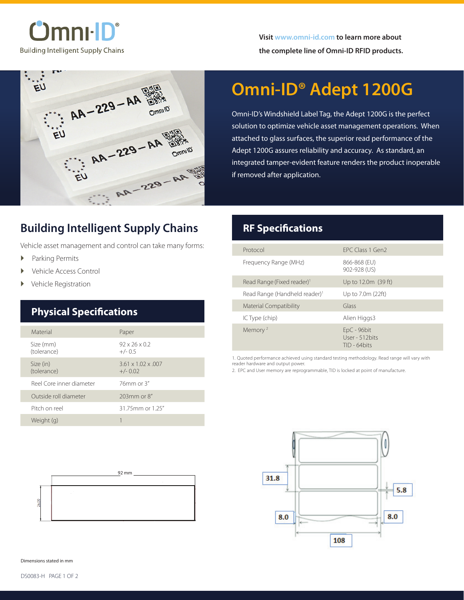$^\circ$ lmnı $\cdot$ l $\Gamma^\circ$ **Building Intelligent Supply Chains** 



# **Omni-ID® Adept 1200G**

Omni-ID's Windshield Label Tag, the Adept 1200G is the perfect solution to optimize vehicle asset management operations. When attached to glass surfaces, the superior read performance of the Adept 1200G assures reliability and accuracy. As standard, an integrated tamper-evident feature renders the product inoperable if removed after application.

### **Building Intelligent Supply Chains**

Vehicle asset management and control can take many forms:

- � Parking Permits
- Vehicle Access Control
- � Vehicle Registration

### **Physical Specifications**

| Material                 | Paper                                         |
|--------------------------|-----------------------------------------------|
| Size (mm)<br>(tolerance) | $92 \times 26 \times 0.2$<br>$+/- 0.5$        |
| Size (in)<br>(tolerance) | $3.61 \times 1.02 \times 0.007$<br>$+/- 0.02$ |
| Reel Core inner diameter | $76$ mm or $3''$                              |
| Qutside roll diameter    | 203mm or 8"                                   |
| Pitch on reel            | 31.75mm or 1.25"                              |
| Weight (g)               |                                               |



### **RF Specifications**

| Protocol                                  | FPC Class 1 Gen2                                   |
|-------------------------------------------|----------------------------------------------------|
| Frequency Range (MHz)                     | 866-868 (EU)<br>902-928 (US)                       |
| Read Range (Fixed reader) <sup>1</sup>    | Up to 12.0m (39 ft)                                |
| Read Range (Handheld reader) <sup>1</sup> | Up to 7.0m (22ft)                                  |
| <b>Material Compatibility</b>             | Glass                                              |
| IC Type (chip)                            | Alien Higgs3                                       |
| Memory <sup>2</sup>                       | $EpC - 96bit$<br>User - 512 bits<br>$TID - 64bits$ |

1. Quoted performance achieved using standard testing methodology. Read range will vary with reader hardware and output power.

2. EPC and User memory are reprogrammable, TID is locked at point of manufacture.



Dimensions stated in mm